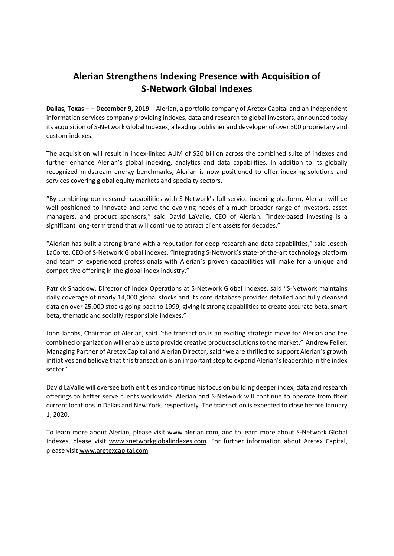# **Alerian Strengthens Indexing Presence with Acquisition of S‐Network Global Indexes**

**Dallas, Texas – – December 9, 2019** – Alerian, a portfolio company of Aretex Capital and an independent information services company providing indexes, data and research to global investors, announced today its acquisition of S‐Network Global Indexes, a leading publisher and developer of over 300 proprietary and custom indexes.

The acquisition will result in index‐linked AUM of \$20 billion across the combined suite of indexes and further enhance Alerian's global indexing, analytics and data capabilities. In addition to its globally recognized midstream energy benchmarks, Alerian is now positioned to offer indexing solutions and services covering global equity markets and specialty sectors.

"By combining our research capabilities with S‐Network's full‐service indexing platform, Alerian will be well-positioned to innovate and serve the evolving needs of a much broader range of investors, asset managers, and product sponsors," said David LaValle, CEO of Alerian. "Index‐based investing is a significant long-term trend that will continue to attract client assets for decades."

"Alerian has built a strong brand with a reputation for deep research and data capabilities," said Joseph LaCorte, CEO of S‐Network Global Indexes. "Integrating S‐Network's state‐of‐the‐art technology platform and team of experienced professionals with Alerian's proven capabilities will make for a unique and competitive offering in the global index industry."

Patrick Shaddow, Director of Index Operations at S‐Network Global Indexes, said "S‐Network maintains daily coverage of nearly 14,000 global stocks and its core database provides detailed and fully cleansed data on over 25,000 stocks going back to 1999, giving it strong capabilities to create accurate beta, smart beta, thematic and socially responsible indexes."

John Jacobs, Chairman of Alerian, said "the transaction is an exciting strategic move for Alerian and the combined organization will enable us to provide creative product solutions to the market." Andrew Feller, Managing Partner of Aretex Capital and Alerian Director, said "we are thrilled to support Alerian's growth initiatives and believe that this transaction is an important step to expand Alerian's leadership in the index sector."

David LaValle will oversee both entities and continue hisfocus on building deeperindex, data and research offerings to better serve clients worldwide. Alerian and S‐Network will continue to operate from their current locationsin Dallas and New York, respectively. The transaction is expected to close before January 1, 2020.

To learn more about Alerian, please visit www.alerian.com, and to learn more about S-Network Global Indexes, please visit www.snetworkglobalindexes.com. For further information about Aretex Capital, please visit www.aretexcapital.com